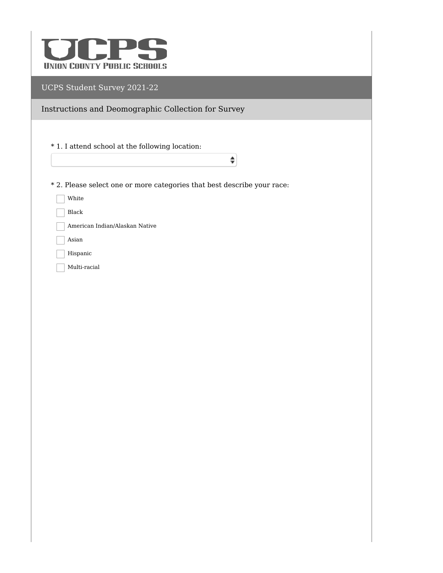

Instructions and Deomographic Collection for Survey

\* 1. I attend school at the following location:

\* 2. Please select one or more categories that best describe your race:

 $\hat{\mathbf{z}}$ 

White

Black

American Indian/Alaskan Native

 $\overline{\phantom{a}}$  Asian

Hispanic

Multi-racial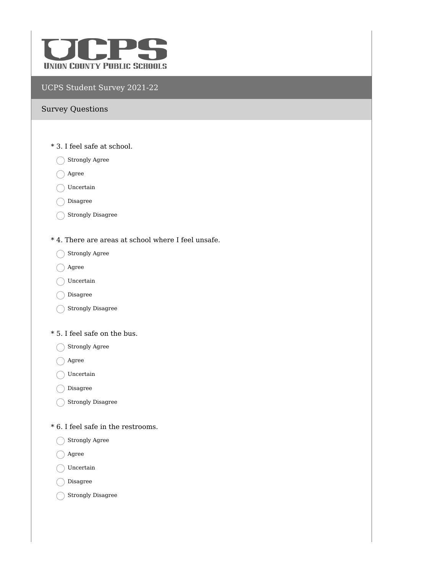

#### Survey Questions

- \* 3. I feel safe at school.
	- $\bigcap$  Strongly Agree
	- $\bigcirc$  Agree
	- $\bigcap$  Uncertain
	- Disagree
	- Strongly Disagree
- \* 4. There are areas at school where I feel unsafe.
	- Strongly Agree
	- ◯ Agree
	- ◯ Uncertain
	- Disagree
	- Strongly Disagree

#### \* 5. I feel safe on the bus.

- Strongly Agree
- ◯ Agree
- ◯ Uncertain
- Disagree
- Strongly Disagree
- \* 6. I feel safe in the restrooms.
	- Strongly Agree
	- Agree
	- ◯ Uncertain
	- O Disagree
	- Strongly Disagree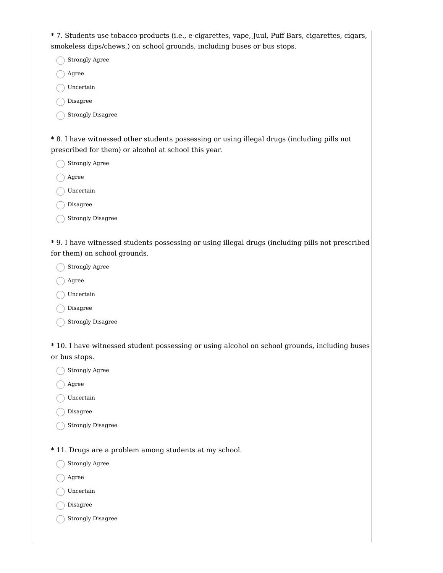\* 7. Students use tobacco products (i.e., e-cigarettes, vape, Juul, Puff Bars, cigarettes, cigars, smokeless dips/chews,) on school grounds, including buses or bus stops.

Strongly Agree

Agree

Uncertain

Disagree

Strongly Disagree

\* 8. I have witnessed other students possessing or using illegal drugs (including pills not prescribed for them) or alcohol at school this year.

Strongly Agree

Agree

Uncertain

Disagree

Strongly Disagree

\* 9. I have witnessed students possessing or using illegal drugs (including pills not prescribed for them) on school grounds.

Strongly Agree

Agree

◯ Uncertain

Disagree

Strongly Disagree

\* 10. I have witnessed student possessing or using alcohol on school grounds, including buses or bus stops.

Strongly Agree

Agree

Uncertain

O Disagree

Strongly Disagree

\* 11. Drugs are a problem among students at my school.

Strongly Agree

Agree

Uncertain

Disagree

 $\bigcap$  Strongly Disagree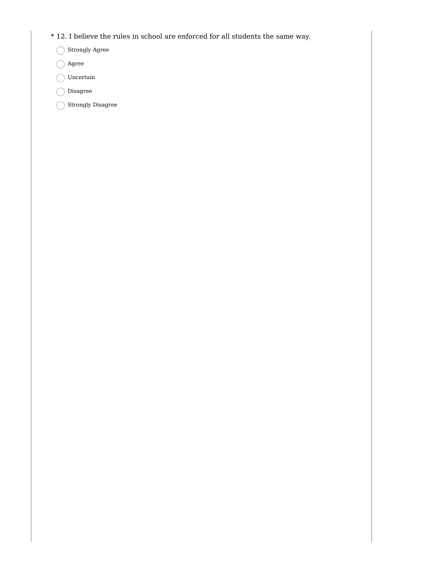- \* 12. I believe the rules in school are enforced for all students the same way.
	- Strongly Agree
	- Agree
	- $\bigcap$  Uncertain
	- Disagree
	- Strongly Disagree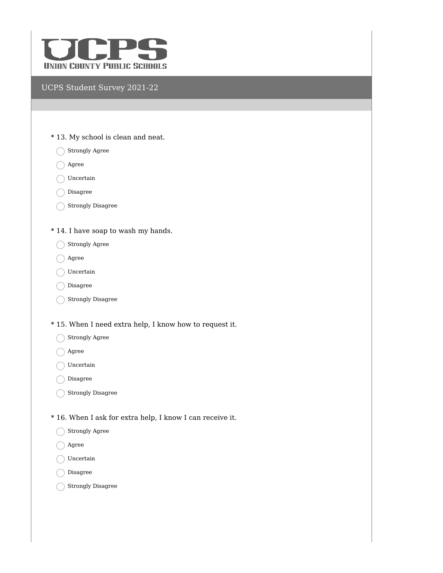

- \* 13. My school is clean and neat.
	- Strongly Agree
	- Agree
	- ◯ Uncertain
	- Disagree
	- Strongly Disagree
- \* 14. I have soap to wash my hands.
	- Strongly Agree
	- ◯ Agree
	- ◯ Uncertain
	- Disagree
	- Strongly Disagree
- \* 15. When I need extra help, I know how to request it.
	- Strongly Agree
	- Agree
	- ◯ Uncertain
	- Disagree
	- Strongly Disagree
- \* 16. When I ask for extra help, I know I can receive it.
	- Strongly Agree
	- ◯ Agree
	- ◯ Uncertain
	- Disagree
	- Strongly Disagree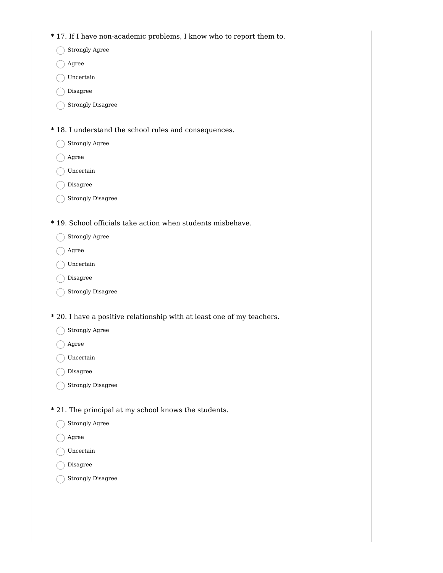\* 17. If I have non-academic problems, I know who to report them to.

Strongly Agree

◯ Agree

- Uncertain
- Disagree
- Strongly Disagree

\* 18. I understand the school rules and consequences.

- Strongly Agree
- ◯ Agree
- ◯ Uncertain
- Disagree
- Strongly Disagree

\* 19. School officials take action when students misbehave.

- Strongly Agree
- ◯ Agree
- ◯ Uncertain
- Disagree
- $\bigcap$  Strongly Disagree
- \* 20. I have a positive relationship with at least one of my teachers.
	- Strongly Agree
	- Agree
	- Uncertain
	- Disagree
	- Strongly Disagree
- \* 21. The principal at my school knows the students.
	- Strongly Agree
	- Agree
	- Uncertain
	- Disagree
	- Strongly Disagree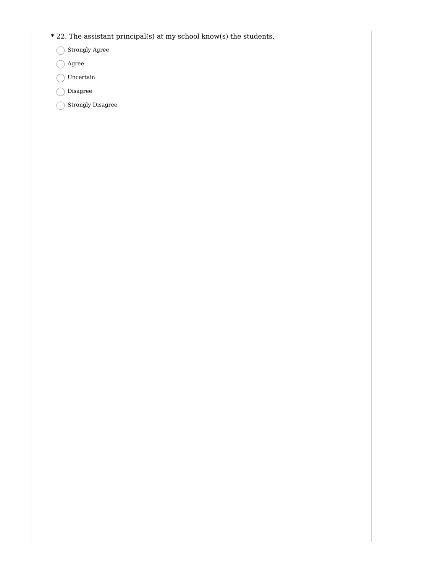- $\,^*$  22. The assistant principal(s) at my school know(s) the students.
	- Strongly Agree
	- Agree
	- $\bigcirc$ Uncertain
	- Disagree
	- Strongly Disagree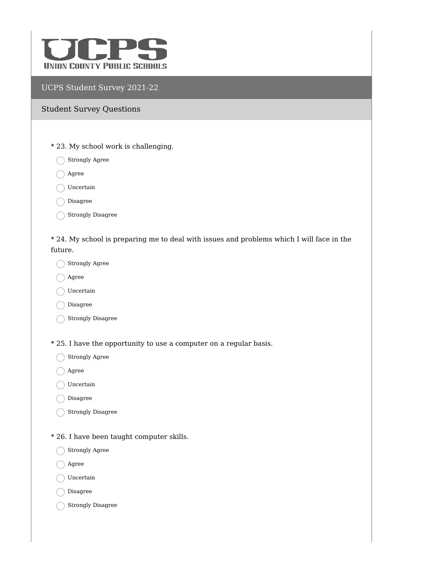

#### Student Survey Questions

- \* 23. My school work is challenging.
	- $\bigcap$  Strongly Agree
	- ◯ Agree
	- ◯ Uncertain
	- Disagree
	- Strongly Disagree

\* 24. My school is preparing me to deal with issues and problems which I will face in the future.

- Strongly Agree
- ◯ Agree
- $\bigcap$  Uncertain
- O Disagree
- Strongly Disagree
- \* 25. I have the opportunity to use a computer on a regular basis.
	- Strongly Agree
	- ◯ Agree
	- ◯ Uncertain
	- Disagree
	- Strongly Disagree
- \* 26. I have been taught computer skills.
	- Strongly Agree
	- ◯ Agree
	- ◯ Uncertain
	- $\bigcap$  Disagree
	- Strongly Disagree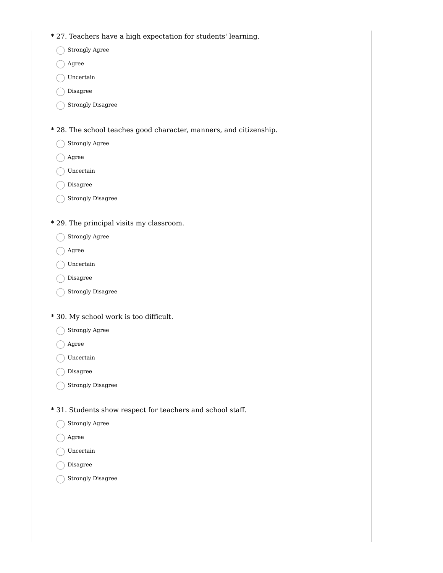- \* 27. Teachers have a high expectation for students' learning.
	- Strongly Agree
	- ◯ Agree
	- Uncertain
	- Disagree
	- Strongly Disagree
- \* 28. The school teaches good character, manners, and citizenship.
	- Strongly Agree
	- ◯ Agree
	- ◯ Uncertain
	- Disagree
	- Strongly Disagree
- \* 29. The principal visits my classroom.
	- Strongly Agree
	- ◯ Agree
	- ◯ Uncertain
	- Disagree
	- $\bigcap$  Strongly Disagree
- \* 30. My school work is too difficult.
	- Strongly Agree
	- Agree
	- Uncertain
	- Disagree
	- Strongly Disagree
- \* 31. Students show respect for teachers and school staff.
	- Strongly Agree
	- Agree
	- Uncertain
	- Disagree
	- Strongly Disagree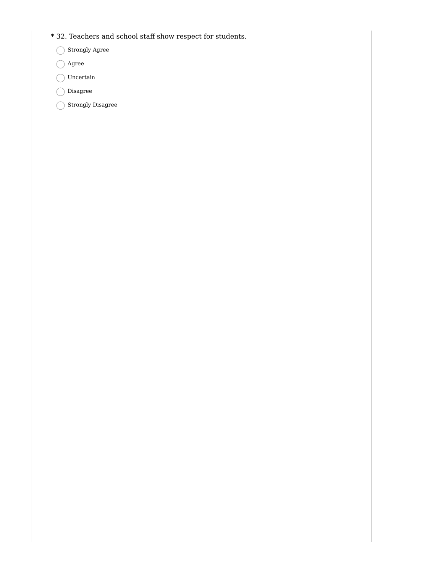- \* 32. Teachers and school staff show respect for students.
	- Strongly Agree
	- Agree
	- $\bigcirc$ Uncertain
	- Disagree
	- Strongly Disagree